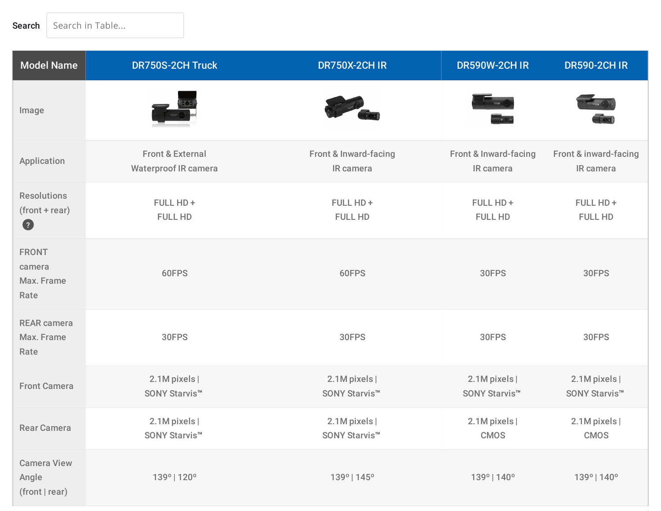| <b>Model Name</b>                                   | <b>DR750S-2CH Truck</b>                                    | <b>DR750X-2CH IR</b>                       | <b>DR590W-2CH IR</b>                          | <b>DR590-2CH IR</b>                        |
|-----------------------------------------------------|------------------------------------------------------------|--------------------------------------------|-----------------------------------------------|--------------------------------------------|
| Image                                               |                                                            |                                            |                                               |                                            |
| Application                                         | <b>Front &amp; External</b><br><b>Waterproof IR camera</b> | Front & Inward-facing<br>IR camera         | <b>Front &amp; Inward-facing</b><br>IR camera | Front & inward-facing<br>IR camera         |
| <b>Resolutions</b><br>$(fromt + rear)$<br>$\bullet$ | FULL HD +<br><b>FULL HD</b>                                | FULL HD +<br><b>FULL HD</b>                | FULL HD+<br><b>FULL HD</b>                    | FULL HD+<br><b>FULL HD</b>                 |
| <b>FRONT</b><br>camera<br>Max. Frame<br>Rate        | 60FPS                                                      | 60FPS                                      | 30FPS                                         | 30FPS                                      |
| <b>REAR camera</b><br>Max. Frame<br>Rate            | 30FPS                                                      | 30FPS                                      | 30FPS                                         | 30FPS                                      |
| <b>Front Camera</b>                                 | 2.1M pixels  <br>SONY Starvis <sup>™</sup>                 | 2.1M pixels  <br>SONY Starvis <sup>™</sup> | 2.1M pixels  <br>SONY Starvis <sup>™</sup>    | 2.1M pixels  <br>SONY Starvis <sup>™</sup> |
| <b>Rear Camera</b>                                  | 2.1M pixels  <br>SONY Starvis <sup>™</sup>                 | 2.1M pixels  <br>SONY Starvis <sup>™</sup> | 2.1M pixels  <br><b>CMOS</b>                  | 2.1M pixels  <br>CMOS                      |
| <b>Camera View</b><br>Angle<br>(front   rear)       | 139°   120°                                                | 139°   145°                                | 139°   140°                                   | 139°   140°                                |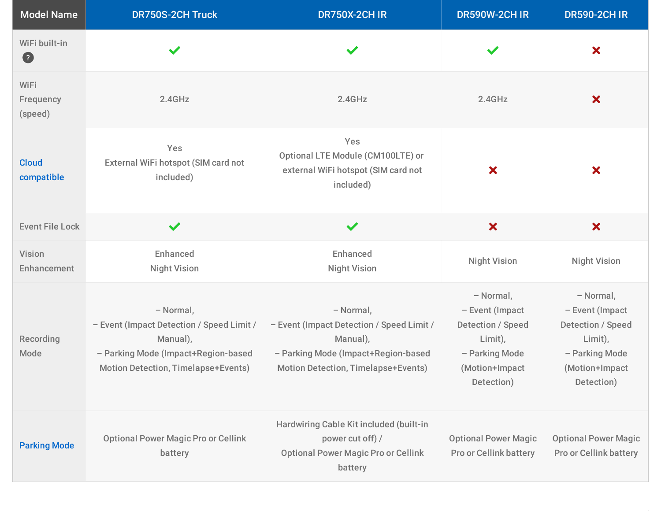| <b>Model Name</b>            | <b>DR750S-2CH Truck</b>                                                                                                                                 | <b>DR750X-2CH IR</b>                                                                                                                                    | <b>DR590W-2CH IR</b>                                                                                                  | <b>DR590-2CH IR</b>                                                                                                   |
|------------------------------|---------------------------------------------------------------------------------------------------------------------------------------------------------|---------------------------------------------------------------------------------------------------------------------------------------------------------|-----------------------------------------------------------------------------------------------------------------------|-----------------------------------------------------------------------------------------------------------------------|
| WiFi built-in<br>$\bullet$   | $\checkmark$                                                                                                                                            |                                                                                                                                                         |                                                                                                                       | $\boldsymbol{\mathsf{x}}$                                                                                             |
| WiFi<br>Frequency<br>(speed) | 2.4GHz                                                                                                                                                  | 2.4GHz                                                                                                                                                  | 2.4GHz                                                                                                                | $\boldsymbol{\mathsf{x}}$                                                                                             |
| <b>Cloud</b><br>compatible   | Yes<br>External WiFi hotspot (SIM card not<br>included)                                                                                                 | Yes<br>Optional LTE Module (CM100LTE) or<br>external WiFi hotspot (SIM card not<br>included)                                                            | ×                                                                                                                     | ×                                                                                                                     |
| <b>Event File Lock</b>       | $\checkmark$                                                                                                                                            | $\checkmark$                                                                                                                                            | $\boldsymbol{\mathsf{x}}$                                                                                             | $\boldsymbol{\mathsf{x}}$                                                                                             |
| <b>Vision</b><br>Enhancement | Enhanced<br><b>Night Vision</b>                                                                                                                         | <b>Enhanced</b><br><b>Night Vision</b>                                                                                                                  | <b>Night Vision</b>                                                                                                   | <b>Night Vision</b>                                                                                                   |
| Recording<br>Mode            | - Normal,<br>- Event (Impact Detection / Speed Limit /<br>Manual),<br>- Parking Mode (Impact+Region-based<br><b>Motion Detection, Timelapse+Events)</b> | - Normal,<br>- Event (Impact Detection / Speed Limit /<br>Manual),<br>- Parking Mode (Impact+Region-based<br><b>Motion Detection, Timelapse+Events)</b> | - Normal,<br>- Event (Impact<br><b>Detection / Speed</b><br>Limit),<br>- Parking Mode<br>(Motion+Impact<br>Detection) | - Normal,<br>- Event (Impact<br><b>Detection / Speed</b><br>Limit),<br>- Parking Mode<br>(Motion+Impact<br>Detection) |
| <b>Parking Mode</b>          | <b>Optional Power Magic Pro or Cellink</b><br>battery                                                                                                   | Hardwiring Cable Kit included (built-in<br>power cut off) /<br><b>Optional Power Magic Pro or Cellink</b><br>battery                                    | <b>Optional Power Magic</b><br><b>Pro or Cellink battery</b>                                                          | <b>Optional Power Magic</b><br><b>Pro or Cellink battery</b>                                                          |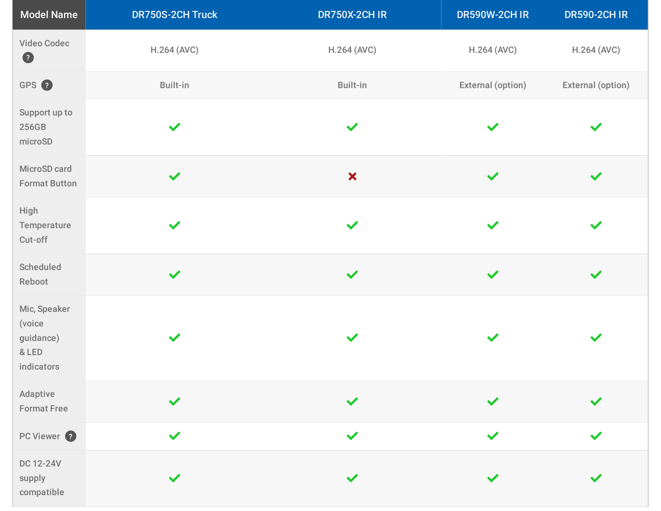| <b>Model Name</b>                                          | DR750S-2CH Truck | <b>DR750X-2CH IR</b>      | DR590W-2CH IR      | <b>DR590-2CH IR</b>  |
|------------------------------------------------------------|------------------|---------------------------|--------------------|----------------------|
| <b>Video Codec</b><br>$\bullet$                            | H.264 (AVC)      | H.264 (AVC)               | <b>H.264 (AVC)</b> | H.264 (AVC)          |
| GPS 2                                                      | Built-in         | Built-in                  | External (option)  | External (option)    |
| Support up to<br>256GB<br>microSD                          | $\checkmark$     | $\checkmark$              | $\checkmark$       |                      |
| MicroSD card<br><b>Format Button</b>                       | $\checkmark$     | $\boldsymbol{\mathsf{x}}$ | $\checkmark$       | $\checkmark$         |
| High<br>Temperature<br>Cut-off                             | $\checkmark$     | $\checkmark$              | $\checkmark$       | $\checkmark$         |
| Scheduled<br>Reboot                                        | $\checkmark$     | $\checkmark$              | $\checkmark$       | $\checkmark$         |
| Mic, Speaker<br>(voice<br>guidance)<br>& LED<br>indicators | $\checkmark$     | $\checkmark$              | $\checkmark$       | $\checkmark$         |
| Adaptive<br><b>Format Free</b>                             | $\checkmark$     | $\checkmark$              | $\checkmark$       |                      |
| PC Viewer <sup>2</sup>                                     | $\checkmark$     | $\checkmark$              | $\checkmark$       | $\blacktriangledown$ |
| DC 12-24V<br>supply<br>compatible                          | $\checkmark$     | $\checkmark$              | $\checkmark$       |                      |